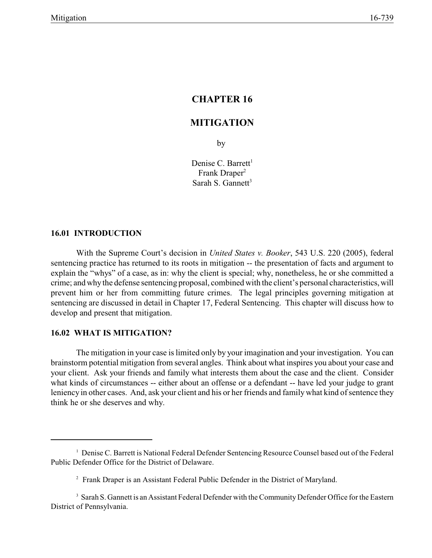# **CHAPTER 16**

# **MITIGATION**

by

Denise C. Barrett $<sup>1</sup>$ </sup> Frank Draper<sup>2</sup> Sarah S. Gannett<sup>3</sup>

#### **16.01 INTRODUCTION**

With the Supreme Court's decision in *United States v. Booker*, 543 U.S. 220 (2005), federal sentencing practice has returned to its roots in mitigation -- the presentation of facts and argument to explain the "whys" of a case, as in: why the client is special; why, nonetheless, he or she committed a crime; and why the defense sentencing proposal, combined with the client's personal characteristics, will prevent him or her from committing future crimes. The legal principles governing mitigation at sentencing are discussed in detail in Chapter 17, Federal Sentencing. This chapter will discuss how to develop and present that mitigation.

#### **16.02 WHAT IS MITIGATION?**

The mitigation in your case is limited only by your imagination and your investigation. You can brainstorm potential mitigation from several angles. Think about what inspires you about your case and your client. Ask your friends and family what interests them about the case and the client. Consider what kinds of circumstances -- either about an offense or a defendant -- have led your judge to grant leniency in other cases. And, ask your client and his or her friends and family what kind of sentence they think he or she deserves and why.

<sup>&</sup>lt;sup>1</sup> Denise C. Barrett is National Federal Defender Sentencing Resource Counsel based out of the Federal Public Defender Office for the District of Delaware.

 $2$  Frank Draper is an Assistant Federal Public Defender in the District of Maryland.

<sup>&</sup>lt;sup>3</sup> Sarah S. Gannett is an Assistant Federal Defender with the Community Defender Office for the Eastern District of Pennsylvania.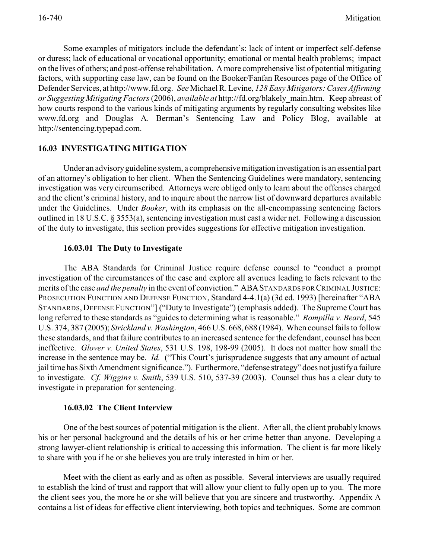Some examples of mitigators include the defendant's: lack of intent or imperfect self-defense or duress; lack of educational or vocational opportunity; emotional or mental health problems; impact on the lives of others; and post-offense rehabilitation. A more comprehensive list of potential mitigating factors, with supporting case law, can be found on the Booker/Fanfan Resources page of the Office of Defender Services, at http://www.fd.org. *See* Michael R. Levine, *128 Easy Mitigators: Cases Affirming or Suggesting Mitigating Factors* (2006), *available at* http://fd.org/blakely\_main.htm. Keep abreast of how courts respond to the various kinds of mitigating arguments by regularly consulting websites like www.fd.org and Douglas A. Berman's Sentencing Law and Policy Blog, available at http://sentencing.typepad.com.

# **16.03 INVESTIGATING MITIGATION**

Under an advisory guideline system, a comprehensive mitigation investigation is an essential part of an attorney's obligation to her client. When the Sentencing Guidelines were mandatory, sentencing investigation was very circumscribed. Attorneys were obliged only to learn about the offenses charged and the client's criminal history, and to inquire about the narrow list of downward departures available under the Guidelines. Under *Booker*, with its emphasis on the all-encompassing sentencing factors outlined in 18 U.S.C. § 3553(a), sentencing investigation must cast a wider net. Following a discussion of the duty to investigate, this section provides suggestions for effective mitigation investigation.

### **16.03.01 The Duty to Investigate**

The ABA Standards for Criminal Justice require defense counsel to "conduct a prompt investigation of the circumstances of the case and explore all avenues leading to facts relevant to the merits of the case *and the penalty* in the event of conviction." ABASTANDARDS FOR CRIMINAL JUSTICE: PROSECUTION FUNCTION AND DEFENSE FUNCTION, Standard 4-4.1(a) (3d ed. 1993) [hereinafter "ABA STANDARDS, DEFENSE FUNCTION"] ("Duty to Investigate") (emphasis added). The Supreme Court has long referred to these standards as "guides to determining what is reasonable." *Rompilla v. Beard*, 545 U.S. 374, 387 (2005); *Strickland v. Washington*, 466 U.S. 668, 688 (1984). When counsel fails to follow these standards, and that failure contributes to an increased sentence for the defendant, counsel has been ineffective. *Glover v. United States*, 531 U.S. 198, 198-99 (2005). It does not matter how small the increase in the sentence may be. *Id.* ("This Court's jurisprudence suggests that any amount of actual jail time has Sixth Amendment significance."). Furthermore, "defense strategy" does not justify a failure to investigate. *Cf. Wiggins v. Smith*, 539 U.S. 510, 537-39 (2003). Counsel thus has a clear duty to investigate in preparation for sentencing.

#### **16.03.02 The Client Interview**

One of the best sources of potential mitigation is the client. After all, the client probably knows his or her personal background and the details of his or her crime better than anyone. Developing a strong lawyer-client relationship is critical to accessing this information. The client is far more likely to share with you if he or she believes you are truly interested in him or her.

Meet with the client as early and as often as possible. Several interviews are usually required to establish the kind of trust and rapport that will allow your client to fully open up to you. The more the client sees you, the more he or she will believe that you are sincere and trustworthy. Appendix A contains a list of ideas for effective client interviewing, both topics and techniques. Some are common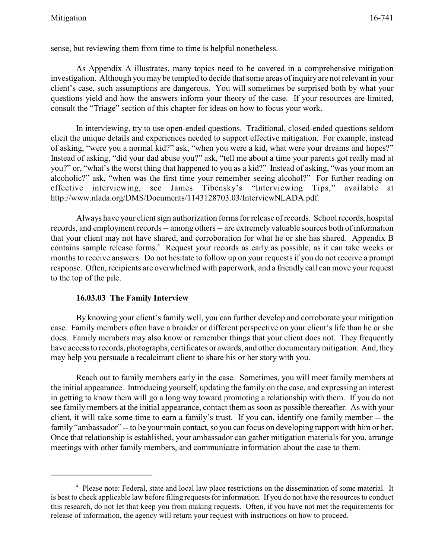sense, but reviewing them from time to time is helpful nonetheless.

As Appendix A illustrates, many topics need to be covered in a comprehensive mitigation investigation. Although you may be tempted to decide that some areas of inquiry are not relevant in your client's case, such assumptions are dangerous. You will sometimes be surprised both by what your questions yield and how the answers inform your theory of the case. If your resources are limited, consult the "Triage" section of this chapter for ideas on how to focus your work.

In interviewing, try to use open-ended questions. Traditional, closed-ended questions seldom elicit the unique details and experiences needed to support effective mitigation. For example, instead of asking, "were you a normal kid?" ask, "when you were a kid, what were your dreams and hopes?" Instead of asking, "did your dad abuse you?" ask, "tell me about a time your parents got really mad at you?" or, "what's the worst thing that happened to you as a kid?" Instead of asking, "was your mom an alcoholic?" ask, "when was the first time your remember seeing alcohol?" For further reading on effective interviewing, see James Tibensky's "Interviewing Tips," available at [http://www.nlada.org/DMS/Documents/1143128703.03/InterviewNLADA.pdf.](http://www.nlada.org/DMS/Documents.)

Always have your client sign authorization forms for release of records. School records, hospital records, and employment records -- among others -- are extremely valuable sources both of information that your client may not have shared, and corroboration for what he or she has shared. Appendix B contains sample release forms.<sup>4</sup> Request your records as early as possible, as it can take weeks or months to receive answers. Do not hesitate to follow up on your requests if you do not receive a prompt response. Often, recipients are overwhelmed with paperwork, and a friendly call can move your request to the top of the pile.

#### **16.03.03 The Family Interview**

By knowing your client's family well, you can further develop and corroborate your mitigation case. Family members often have a broader or different perspective on your client's life than he or she does. Family members may also know or remember things that your client does not. They frequently have access to records, photographs, certificates or awards, and other documentary mitigation. And, they may help you persuade a recalcitrant client to share his or her story with you.

Reach out to family members early in the case. Sometimes, you will meet family members at the initial appearance. Introducing yourself, updating the family on the case, and expressing an interest in getting to know them will go a long way toward promoting a relationship with them. If you do not see family members at the initial appearance, contact them as soon as possible thereafter. As with your client, it will take some time to earn a family's trust. If you can, identify one family member -- the family "ambassador" -- to be your main contact, so you can focus on developing rapport with him or her. Once that relationship is established, your ambassador can gather mitigation materials for you, arrange meetings with other family members, and communicate information about the case to them.

<sup>&</sup>lt;sup>4</sup> Please note: Federal, state and local law place restrictions on the dissemination of some material. It is best to check applicable law before filing requests for information. If you do not have the resources to conduct this research, do not let that keep you from making requests. Often, if you have not met the requirements for release of information, the agency will return your request with instructions on how to proceed.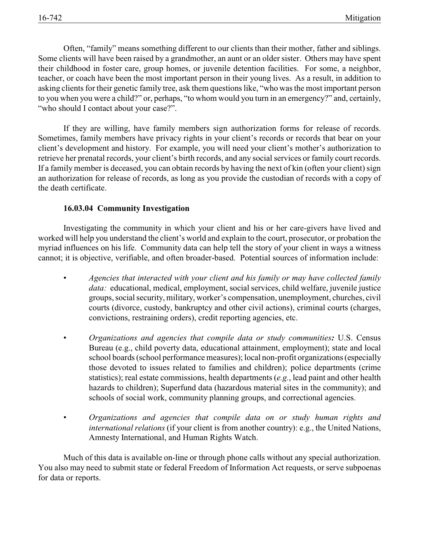Often, "family" means something different to our clients than their mother, father and siblings. Some clients will have been raised by a grandmother, an aunt or an older sister. Others may have spent their childhood in foster care, group homes, or juvenile detention facilities. For some, a neighbor, teacher, or coach have been the most important person in their young lives. As a result, in addition to asking clients for their genetic family tree, ask them questions like, "who was the most important person to you when you were a child?" or, perhaps, "to whom would you turn in an emergency?" and, certainly, "who should I contact about your case?".

If they are willing, have family members sign authorization forms for release of records. Sometimes, family members have privacy rights in your client's records or records that bear on your client's development and history. For example, you will need your client's mother's authorization to retrieve her prenatal records, your client's birth records, and any social services or family court records. If a family member is deceased, you can obtain records by having the next of kin (often your client) sign an authorization for release of records, as long as you provide the custodian of records with a copy of the death certificate.

### **16.03.04 Community Investigation**

Investigating the community in which your client and his or her care-givers have lived and worked will help you understand the client's world and explain to the court, prosecutor, or probation the myriad influences on his life. Community data can help tell the story of your client in ways a witness cannot; it is objective, verifiable, and often broader-based. Potential sources of information include:

- *Agencies that interacted with your client and his family or may have collected family data:* educational, medical, employment, social services, child welfare, juvenile justice groups, social security, military, worker's compensation, unemployment, churches, civil courts (divorce, custody, bankruptcy and other civil actions), criminal courts (charges, convictions, restraining orders), credit reporting agencies, etc.
- *Organizations and agencies that compile data or study communities:* U.S. Census Bureau (e.g., child poverty data, educational attainment, employment); state and local school boards (school performance measures); local non-profit organizations (especially those devoted to issues related to families and children); police departments (crime statistics); real estate commissions, health departments (*e.g.*, lead paint and other health hazards to children); Superfund data (hazardous material sites in the community); and schools of social work, community planning groups, and correctional agencies.
- *Organizations and agencies that compile data on or study human rights and international relations* (if your client is from another country): e.g., the United Nations, Amnesty International, and Human Rights Watch.

Much of this data is available on-line or through phone calls without any special authorization. You also may need to submit state or federal Freedom of Information Act requests, or serve subpoenas for data or reports.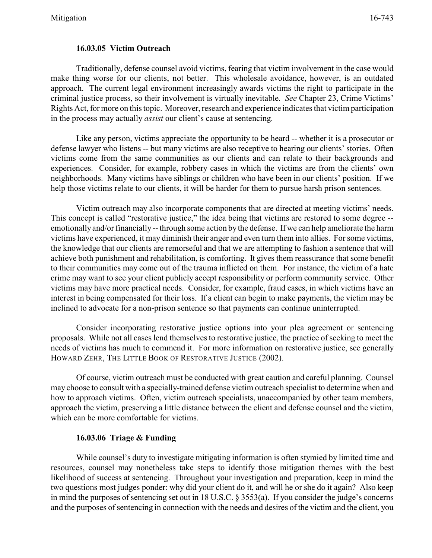### **16.03.05 Victim Outreach**

Traditionally, defense counsel avoid victims, fearing that victim involvement in the case would make thing worse for our clients, not better. This wholesale avoidance, however, is an outdated approach. The current legal environment increasingly awards victims the right to participate in the criminal justice process, so their involvement is virtually inevitable. *See* Chapter 23, Crime Victims' Rights Act, for more on this topic. Moreover, research and experience indicates that victim participation in the process may actually *assist* our client's cause at sentencing.

Like any person, victims appreciate the opportunity to be heard -- whether it is a prosecutor or defense lawyer who listens -- but many victims are also receptive to hearing our clients' stories. Often victims come from the same communities as our clients and can relate to their backgrounds and experiences. Consider, for example, robbery cases in which the victims are from the clients' own neighborhoods. Many victims have siblings or children who have been in our clients' position. If we help those victims relate to our clients, it will be harder for them to pursue harsh prison sentences.

Victim outreach may also incorporate components that are directed at meeting victims' needs. This concept is called "restorative justice," the idea being that victims are restored to some degree - emotionally and/or financially -- through some action by the defense. If we can help ameliorate the harm victims have experienced, it may diminish their anger and even turn them into allies. For some victims, the knowledge that our clients are remorseful and that we are attempting to fashion a sentence that will achieve both punishment and rehabilitation, is comforting. It gives them reassurance that some benefit to their communities may come out of the trauma inflicted on them. For instance, the victim of a hate crime may want to see your client publicly accept responsibility or perform community service. Other victims may have more practical needs. Consider, for example, fraud cases, in which victims have an interest in being compensated for their loss. If a client can begin to make payments, the victim may be inclined to advocate for a non-prison sentence so that payments can continue uninterrupted.

Consider incorporating restorative justice options into your plea agreement or sentencing proposals. While not all cases lend themselves to restorative justice, the practice of seeking to meet the needs of victims has much to commend it. For more information on restorative justice, see generally HOWARD ZEHR, THE LITTLE BOOK OF RESTORATIVE JUSTICE (2002).

Of course, victim outreach must be conducted with great caution and careful planning. Counsel may choose to consult with a specially-trained defense victim outreach specialist to determine when and how to approach victims. Often, victim outreach specialists, unaccompanied by other team members, approach the victim, preserving a little distance between the client and defense counsel and the victim, which can be more comfortable for victims.

#### **16.03.06 Triage & Funding**

While counsel's duty to investigate mitigating information is often stymied by limited time and resources, counsel may nonetheless take steps to identify those mitigation themes with the best likelihood of success at sentencing. Throughout your investigation and preparation, keep in mind the two questions most judges ponder: why did your client do it, and will he or she do it again? Also keep in mind the purposes of sentencing set out in 18 U.S.C. § 3553(a). If you consider the judge's concerns and the purposes of sentencing in connection with the needs and desires of the victim and the client, you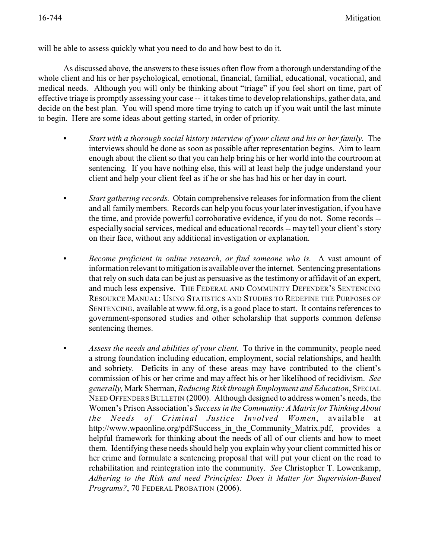will be able to assess quickly what you need to do and how best to do it.

As discussed above, the answers to these issues often flow from a thorough understanding of the whole client and his or her psychological, emotional, financial, familial, educational, vocational, and medical needs. Although you will only be thinking about "triage" if you feel short on time, part of effective triage is promptly assessing your case -- it takes time to develop relationships, gather data, and decide on the best plan. You will spend more time trying to catch up if you wait until the last minute to begin. Here are some ideas about getting started, in order of priority.

- **•** *Start with a thorough social history interview of your client and his or her family.* The interviews should be done as soon as possible after representation begins. Aim to learn enough about the client so that you can help bring his or her world into the courtroom at sentencing. If you have nothing else, this will at least help the judge understand your client and help your client feel as if he or she has had his or her day in court.
- **•** *Start gathering records.* Obtain comprehensive releases for information from the client and all family members. Records can help you focus your later investigation, if you have the time, and provide powerful corroborative evidence, if you do not. Some records - especially social services, medical and educational records -- may tell your client's story on their face, without any additional investigation or explanation.
- **•** *Become proficient in online research, or find someone who is.* A vast amount of information relevant to mitigation is available over the internet. Sentencing presentations that rely on such data can be just as persuasive as the testimony or affidavit of an expert, and much less expensive. THE FEDERAL AND COMMUNITY DEFENDER'S SENTENCING RESOURCE MANUAL: USING STATISTICS AND STUDIES TO REDEFINE THE PURPOSES OF SENTENCING, available at www.fd.org, is a good place to start. It contains references to government-sponsored studies and other scholarship that supports common defense sentencing themes.
- **•** *Assess the needs and abilities of your client.* To thrive in the community, people need a strong foundation including education, employment, social relationships, and health and sobriety. Deficits in any of these areas may have contributed to the client's commission of his or her crime and may affect his or her likelihood of recidivism. *See generally,* Mark Sherman, *Reducing Risk through Employment and Education*, SPECIAL NEED OFFENDERS BULLETIN (2000). Although designed to address women's needs, the Women's Prison Association's *Success in the Community: A Matrix for Thinking About the Needs of Criminal Justice Involved Women*, available at http://www.wpaonline.org/pdf/Success in the Community Matrix.pdf, provides a helpful framework for thinking about the needs of all of our clients and how to meet them. Identifying these needs should help you explain why your client committed his or her crime and formulate a sentencing proposal that will put your client on the road to rehabilitation and reintegration into the community. *See* Christopher T. Lowenkamp, *Adhering to the Risk and need Principles: Does it Matter for Supervision-Based Programs?*, 70 FEDERAL PROBATION (2006).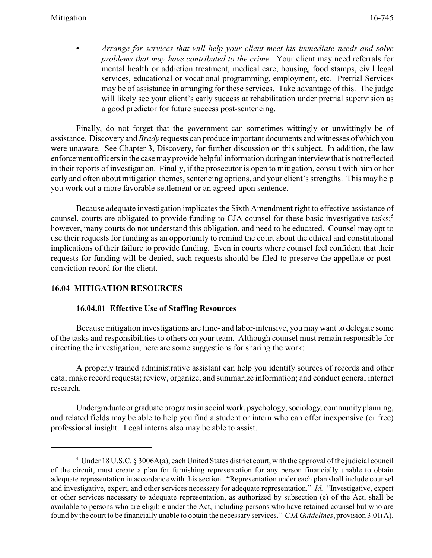**•** *Arrange for services that will help your client meet his immediate needs and solve problems that may have contributed to the crime.*Your client may need referrals for mental health or addiction treatment, medical care, housing, food stamps, civil legal services, educational or vocational programming, employment, etc. Pretrial Services may be of assistance in arranging for these services. Take advantage of this. The judge will likely see your client's early success at rehabilitation under pretrial supervision as a good predictor for future success post-sentencing.

Finally, do not forget that the government can sometimes wittingly or unwittingly be of assistance. Discovery and *Brady* requests can produce important documents and witnesses of which you were unaware. See Chapter 3, Discovery, for further discussion on this subject. In addition, the law enforcement officers in the case may provide helpful information during an interview that is not reflected in their reports of investigation. Finally, if the prosecutor is open to mitigation, consult with him or her early and often about mitigation themes, sentencing options, and your client's strengths. This may help you work out a more favorable settlement or an agreed-upon sentence.

Because adequate investigation implicates the Sixth Amendment right to effective assistance of counsel, courts are obligated to provide funding to CJA counsel for these basic investigative tasks;<sup>5</sup> however, many courts do not understand this obligation, and need to be educated. Counsel may opt to use their requests for funding as an opportunity to remind the court about the ethical and constitutional implications of their failure to provide funding. Even in courts where counsel feel confident that their requests for funding will be denied, such requests should be filed to preserve the appellate or postconviction record for the client.

# **16.04 MITIGATION RESOURCES**

## **16.04.01 Effective Use of Staffing Resources**

Because mitigation investigations are time- and labor-intensive, you may want to delegate some of the tasks and responsibilities to others on your team. Although counsel must remain responsible for directing the investigation, here are some suggestions for sharing the work:

A properly trained administrative assistant can help you identify sources of records and other data; make record requests; review, organize, and summarize information; and conduct general internet research.

Undergraduate or graduate programs in social work, psychology, sociology, community planning, and related fields may be able to help you find a student or intern who can offer inexpensive (or free) professional insight. Legal interns also may be able to assist.

 $\frac{1}{2}$  Under 18 U.S.C. § 3006A(a), each United States district court, with the approval of the judicial council of the circuit, must create a plan for furnishing representation for any person financially unable to obtain adequate representation in accordance with this section. "Representation under each plan shall include counsel and investigative, expert, and other services necessary for adequate representation." *Id.* "Investigative, expert or other services necessary to adequate representation, as authorized by subsection (e) of the Act, shall be available to persons who are eligible under the Act, including persons who have retained counsel but who are found by the court to be financially unable to obtain the necessary services." *CJA Guidelines*, provision 3.01(A).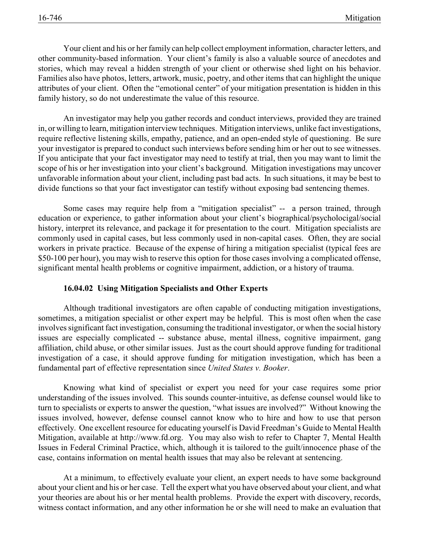Your client and his or her family can help collect employment information, character letters, and other community-based information. Your client's family is also a valuable source of anecdotes and stories, which may reveal a hidden strength of your client or otherwise shed light on his behavior. Families also have photos, letters, artwork, music, poetry, and other items that can highlight the unique attributes of your client. Often the "emotional center" of your mitigation presentation is hidden in this family history, so do not underestimate the value of this resource.

An investigator may help you gather records and conduct interviews, provided they are trained in, or willing to learn, mitigation interview techniques. Mitigation interviews, unlike fact investigations, require reflective listening skills, empathy, patience, and an open-ended style of questioning. Be sure your investigator is prepared to conduct such interviews before sending him or her out to see witnesses. If you anticipate that your fact investigator may need to testify at trial, then you may want to limit the scope of his or her investigation into your client's background. Mitigation investigations may uncover unfavorable information about your client, including past bad acts. In such situations, it may be best to divide functions so that your fact investigator can testify without exposing bad sentencing themes.

Some cases may require help from a "mitigation specialist" -- a person trained, through education or experience, to gather information about your client's biographical/psycholocigal/social history, interpret its relevance, and package it for presentation to the court. Mitigation specialists are commonly used in capital cases, but less commonly used in non-capital cases. Often, they are social workers in private practice. Because of the expense of hiring a mitigation specialist (typical fees are \$50-100 per hour), you may wish to reserve this option for those cases involving a complicated offense, significant mental health problems or cognitive impairment, addiction, or a history of trauma.

#### **16.04.02 Using Mitigation Specialists and Other Experts**

Although traditional investigators are often capable of conducting mitigation investigations, sometimes, a mitigation specialist or other expert may be helpful. This is most often when the case involves significant fact investigation, consuming the traditional investigator, or when the social history issues are especially complicated -- substance abuse, mental illness, cognitive impairment, gang affiliation, child abuse, or other similar issues. Just as the court should approve funding for traditional investigation of a case, it should approve funding for mitigation investigation, which has been a fundamental part of effective representation since *United States v. Booker*.

Knowing what kind of specialist or expert you need for your case requires some prior understanding of the issues involved. This sounds counter-intuitive, as defense counsel would like to turn to specialists or experts to answer the question, "what issues are involved?" Without knowing the issues involved, however, defense counsel cannot know who to hire and how to use that person effectively. One excellent resource for educating yourself is David Freedman's Guide to Mental Health Mitigation, available at http://www.fd.org. You may also wish to refer to Chapter 7, Mental Health Issues in Federal Criminal Practice, which, although it is tailored to the guilt/innocence phase of the case, contains information on mental health issues that may also be relevant at sentencing.

At a minimum, to effectively evaluate your client, an expert needs to have some background about your client and his or her case. Tell the expert what you have observed about your client, and what your theories are about his or her mental health problems. Provide the expert with discovery, records, witness contact information, and any other information he or she will need to make an evaluation that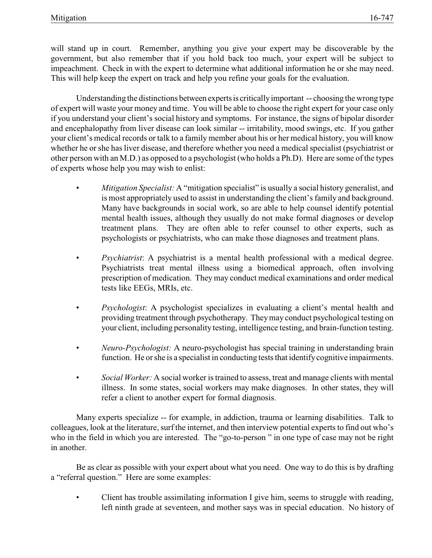will stand up in court. Remember, anything you give your expert may be discoverable by the government, but also remember that if you hold back too much, your expert will be subject to impeachment. Check in with the expert to determine what additional information he or she may need. This will help keep the expert on track and help you refine your goals for the evaluation.

Understanding the distinctions between experts is critically important -- choosing the wrong type of expert will waste your money and time. You will be able to choose the right expert for your case only if you understand your client's social history and symptoms. For instance, the signs of bipolar disorder and encephalopathy from liver disease can look similar -- irritability, mood swings, etc. If you gather your client's medical records or talk to a family member about his or her medical history, you will know whether he or she has liver disease, and therefore whether you need a medical specialist (psychiatrist or other person with an M.D.) as opposed to a psychologist (who holds a Ph.D). Here are some of the types of experts whose help you may wish to enlist:

- *Mitigation Specialist:* A "mitigation specialist" is usually a social history generalist, and is most appropriately used to assist in understanding the client's family and background. Many have backgrounds in social work, so are able to help counsel identify potential mental health issues, although they usually do not make formal diagnoses or develop treatment plans. They are often able to refer counsel to other experts, such as psychologists or psychiatrists, who can make those diagnoses and treatment plans.
- *Psychiatrist*: A psychiatrist is a mental health professional with a medical degree. Psychiatrists treat mental illness using a biomedical approach, often involving prescription of medication. They may conduct medical examinations and order medical tests like EEGs, MRIs, etc.
- *Psychologist*: A psychologist specializes in evaluating a client's mental health and providing treatment through psychotherapy. They may conduct psychological testing on your client, including personality testing, intelligence testing, and brain-function testing.
- *Neuro-Psychologist:* A neuro-psychologist has special training in understanding brain function. He or she is a specialist in conducting tests that identify cognitive impairments.
- *Social Worker:* A social worker is trained to assess, treat and manage clients with mental illness. In some states, social workers may make diagnoses. In other states, they will refer a client to another expert for formal diagnosis.

Many experts specialize -- for example, in addiction, trauma or learning disabilities. Talk to colleagues, look at the literature, surf the internet, and then interview potential experts to find out who's who in the field in which you are interested. The "go-to-person " in one type of case may not be right in another.

Be as clear as possible with your expert about what you need. One way to do this is by drafting a "referral question." Here are some examples:

• Client has trouble assimilating information I give him, seems to struggle with reading, left ninth grade at seventeen, and mother says was in special education. No history of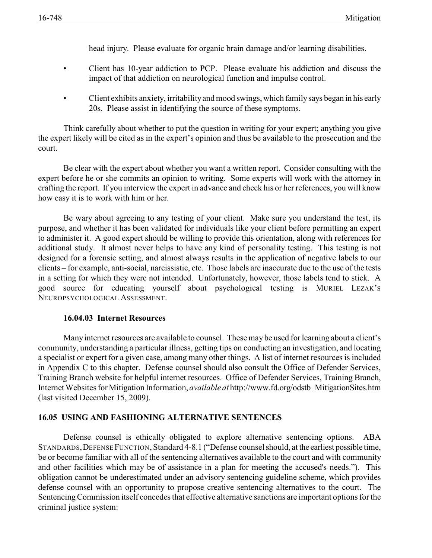head injury. Please evaluate for organic brain damage and/or learning disabilities.

- Client has 10-year addiction to PCP. Please evaluate his addiction and discuss the impact of that addiction on neurological function and impulse control.
- Client exhibits anxiety, irritability and mood swings, which family says began in his early 20s. Please assist in identifying the source of these symptoms.

Think carefully about whether to put the question in writing for your expert; anything you give the expert likely will be cited as in the expert's opinion and thus be available to the prosecution and the court.

Be clear with the expert about whether you want a written report. Consider consulting with the expert before he or she commits an opinion to writing. Some experts will work with the attorney in crafting the report. If you interview the expert in advance and check his or her references, you will know how easy it is to work with him or her.

Be wary about agreeing to any testing of your client. Make sure you understand the test, its purpose, and whether it has been validated for individuals like your client before permitting an expert to administer it. A good expert should be willing to provide this orientation, along with references for additional study. It almost never helps to have any kind of personality testing. This testing is not designed for a forensic setting, and almost always results in the application of negative labels to our clients – for example, anti-social, narcissistic, etc. Those labels are inaccurate due to the use of the tests in a setting for which they were not intended. Unfortunately, however, those labels tend to stick. A good source for educating yourself about psychological testing is MURIEL LEZAK'S NEUROPSYCHOLOGICAL ASSESSMENT.

#### **16.04.03 Internet Resources**

Many internet resources are available to counsel. These may be used for learning about a client's community, understanding a particular illness, getting tips on conducting an investigation, and locating a specialist or expert for a given case, among many other things. A list of internet resources is included in Appendix C to this chapter. Defense counsel should also consult the Office of Defender Services, Training Branch website for helpful internet resources. Office of Defender Services, Training Branch, Internet Websites for Mitigation Information, *available at* http://www.fd.org/odstb\_MitigationSites.htm (last visited December 15, 2009).

#### **16.05 USING AND FASHIONING ALTERNATIVE SENTENCES**

Defense counsel is ethically obligated to explore alternative sentencing options. ABA STANDARDS,DEFENSE FUNCTION, Standard 4-8.1 ("Defense counsel should, at the earliest possible time, be or become familiar with all of the sentencing alternatives available to the court and with community and other facilities which may be of assistance in a plan for meeting the accused's needs."). This obligation cannot be underestimated under an advisory sentencing guideline scheme, which provides defense counsel with an opportunity to propose creative sentencing alternatives to the court. The Sentencing Commission itself concedes that effective alternative sanctions are important options for the criminal justice system: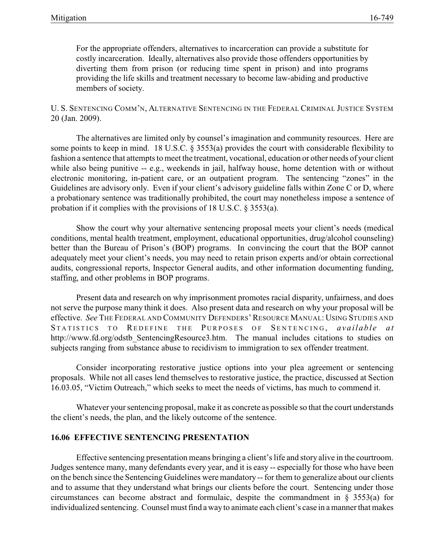For the appropriate offenders, alternatives to incarceration can provide a substitute for costly incarceration. Ideally, alternatives also provide those offenders opportunities by diverting them from prison (or reducing time spent in prison) and into programs providing the life skills and treatment necessary to become law-abiding and productive members of society.

U. S. SENTENCING COMM'N, ALTERNATIVE SENTENCING IN THE FEDERAL CRIMINAL JUSTICE SYSTEM 20 (Jan. 2009).

The alternatives are limited only by counsel's imagination and community resources. Here are some points to keep in mind. 18 U.S.C. § 3553(a) provides the court with considerable flexibility to fashion a sentence that attempts to meet the treatment, vocational, education or other needs of your client while also being punitive -- e.g., weekends in jail, halfway house, home detention with or without electronic monitoring, in-patient care, or an outpatient program. The sentencing "zones" in the Guidelines are advisory only. Even if your client's advisory guideline falls within Zone C or D, where a probationary sentence was traditionally prohibited, the court may nonetheless impose a sentence of probation if it complies with the provisions of 18 U.S.C. § 3553(a).

Show the court why your alternative sentencing proposal meets your client's needs (medical conditions, mental health treatment, employment, educational opportunities, drug/alcohol counseling) better than the Bureau of Prison's (BOP) programs. In convincing the court that the BOP cannot adequately meet your client's needs, you may need to retain prison experts and/or obtain correctional audits, congressional reports, Inspector General audits, and other information documenting funding, staffing, and other problems in BOP programs.

Present data and research on why imprisonment promotes racial disparity, unfairness, and does not serve the purpose many think it does. Also present data and research on why your proposal will be effective. *See* THE FEDERAL AND COMMUNITY DEFENDERS'RESOURCE MANUAL: USING STUDIES AND STATISTICS TO REDEFINE THE PURPOSES OF SENTENCING, *available at* http://www.fd.org/odstb SentencingResource3.htm. The manual includes citations to studies on subjects ranging from substance abuse to recidivism to immigration to sex offender treatment.

Consider incorporating restorative justice options into your plea agreement or sentencing proposals. While not all cases lend themselves to restorative justice, the practice, discussed at Section 16.03.05, "Victim Outreach," which seeks to meet the needs of victims, has much to commend it.

Whatever your sentencing proposal, make it as concrete as possible so that the court understands the client's needs, the plan, and the likely outcome of the sentence.

#### **16.06 EFFECTIVE SENTENCING PRESENTATION**

Effective sentencing presentation means bringing a client's life and story alive in the courtroom. Judges sentence many, many defendants every year, and it is easy -- especially for those who have been on the bench since the Sentencing Guidelines were mandatory --for them to generalize about our clients and to assume that they understand what brings our clients before the court. Sentencing under those circumstances can become abstract and formulaic, despite the commandment in § 3553(a) for individualized sentencing. Counsel must find a way to animate each client's case in a manner that makes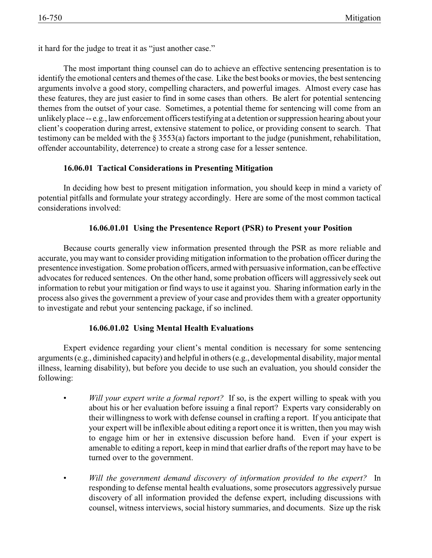it hard for the judge to treat it as "just another case."

The most important thing counsel can do to achieve an effective sentencing presentation is to identify the emotional centers and themes of the case. Like the best books or movies, the best sentencing arguments involve a good story, compelling characters, and powerful images. Almost every case has these features, they are just easier to find in some cases than others. Be alert for potential sentencing themes from the outset of your case. Sometimes, a potential theme for sentencing will come from an unlikely place -- e.g., law enforcement officers testifying at a detention or suppression hearing about your client's cooperation during arrest, extensive statement to police, or providing consent to search. That testimony can be melded with the § 3553(a) factors important to the judge (punishment, rehabilitation, offender accountability, deterrence) to create a strong case for a lesser sentence.

## **16.06.01 Tactical Considerations in Presenting Mitigation**

In deciding how best to present mitigation information, you should keep in mind a variety of potential pitfalls and formulate your strategy accordingly. Here are some of the most common tactical considerations involved:

# **16.06.01.01 Using the Presentence Report (PSR) to Present your Position**

Because courts generally view information presented through the PSR as more reliable and accurate, you may want to consider providing mitigation information to the probation officer during the presentence investigation. Some probation officers, armed with persuasive information, can be effective advocates for reduced sentences. On the other hand, some probation officers will aggressively seek out information to rebut your mitigation or find ways to use it against you. Sharing information early in the process also gives the government a preview of your case and provides them with a greater opportunity to investigate and rebut your sentencing package, if so inclined.

## **16.06.01.02 Using Mental Health Evaluations**

Expert evidence regarding your client's mental condition is necessary for some sentencing arguments (e.g., diminished capacity) and helpful in others (e.g., developmental disability, major mental illness, learning disability), but before you decide to use such an evaluation, you should consider the following:

- *Will your expert write a formal report?* If so, is the expert willing to speak with you about his or her evaluation before issuing a final report? Experts vary considerably on their willingness to work with defense counsel in crafting a report. If you anticipate that your expert will be inflexible about editing a report once it is written, then you may wish to engage him or her in extensive discussion before hand. Even if your expert is amenable to editing a report, keep in mind that earlier drafts of the report may have to be turned over to the government.
- *Will the government demand discovery of information provided to the expert?* In responding to defense mental health evaluations, some prosecutors aggressively pursue discovery of all information provided the defense expert, including discussions with counsel, witness interviews, social history summaries, and documents. Size up the risk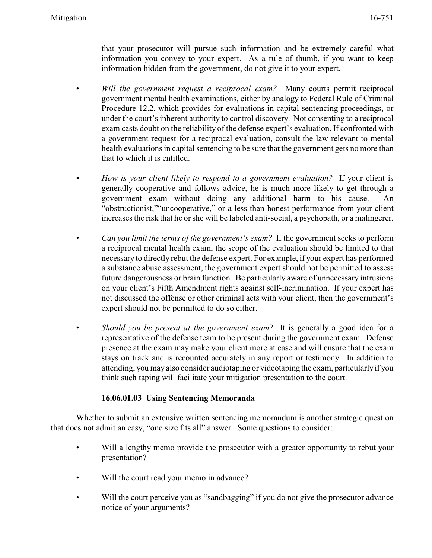that your prosecutor will pursue such information and be extremely careful what information you convey to your expert. As a rule of thumb, if you want to keep information hidden from the government, do not give it to your expert.

- *Will the government request a reciprocal exam?* Many courts permit reciprocal government mental health examinations, either by analogy to Federal Rule of Criminal Procedure 12.2, which provides for evaluations in capital sentencing proceedings, or under the court's inherent authority to control discovery. Not consenting to a reciprocal exam casts doubt on the reliability of the defense expert's evaluation. If confronted with a government request for a reciprocal evaluation, consult the law relevant to mental health evaluations in capital sentencing to be sure that the government gets no more than that to which it is entitled.
- *How is your client likely to respond to a government evaluation?* If your client is generally cooperative and follows advice, he is much more likely to get through a government exam without doing any additional harm to his cause. An "obstructionist,""uncooperative," or a less than honest performance from your client increases the risk that he or she will be labeled anti-social, a psychopath, or a malingerer.
- *Can you limit the terms of the government's exam?* If the government seeks to perform a reciprocal mental health exam, the scope of the evaluation should be limited to that necessary to directly rebut the defense expert. For example, if your expert has performed a substance abuse assessment, the government expert should not be permitted to assess future dangerousness or brain function. Be particularly aware of unnecessary intrusions on your client's Fifth Amendment rights against self-incrimination. If your expert has not discussed the offense or other criminal acts with your client, then the government's expert should not be permitted to do so either.
- *Should you be present at the government exam*? It is generally a good idea for a representative of the defense team to be present during the government exam. Defense presence at the exam may make your client more at ease and will ensure that the exam stays on track and is recounted accurately in any report or testimony. In addition to attending, you may also consider audiotaping or videotaping the exam, particularly if you think such taping will facilitate your mitigation presentation to the court.

## **16.06.01.03 Using Sentencing Memoranda**

Whether to submit an extensive written sentencing memorandum is another strategic question that does not admit an easy, "one size fits all" answer. Some questions to consider:

- Will a lengthy memo provide the prosecutor with a greater opportunity to rebut your presentation?
- Will the court read your memo in advance?
- Will the court perceive you as "sandbagging" if you do not give the prosecutor advance notice of your arguments?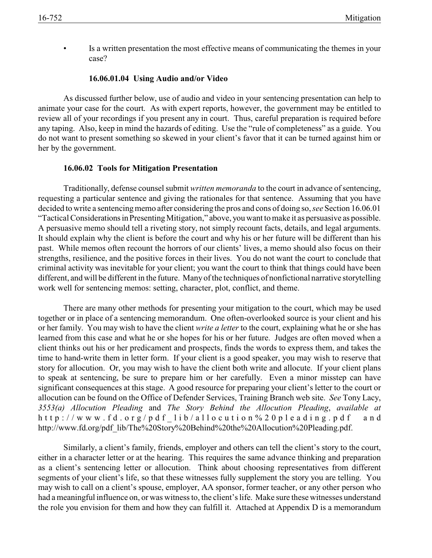Is a written presentation the most effective means of communicating the themes in your case?

#### **16.06.01.04 Using Audio and/or Video**

As discussed further below, use of audio and video in your sentencing presentation can help to animate your case for the court. As with expert reports, however, the government may be entitled to review all of your recordings if you present any in court. Thus, careful preparation is required before any taping. Also, keep in mind the hazards of editing. Use the "rule of completeness" as a guide. You do not want to present something so skewed in your client's favor that it can be turned against him or her by the government.

#### **16.06.02 Tools for Mitigation Presentation**

Traditionally, defense counsel submit *written memoranda* to the court in advance of sentencing, requesting a particular sentence and giving the rationales for that sentence.Assuming that you have decided to write a sentencing memo after considering the pros and cons of doing so, *see* Section 16.06.01 "Tactical Considerations in Presenting Mitigation," above, you want to make it as persuasive as possible. A persuasive memo should tell a riveting story, not simply recount facts, details, and legal arguments. It should explain why the client is before the court and why his or her future will be different than his past. While memos often recount the horrors of our clients' lives, a memo should also focus on their strengths, resilience, and the positive forces in their lives. You do not want the court to conclude that criminal activity was inevitable for your client; you want the court to think that things could have been different, and will be different in the future. Many of the techniques of nonfictional narrative storytelling work well for sentencing memos: setting, character, plot, conflict, and theme.

There are many other methods for presenting your mitigation to the court, which may be used together or in place of a sentencing memorandum. One often-overlooked source is your client and his or her family. You may wish to have the client *write a letter* to the court, explaining what he or she has learned from this case and what he or she hopes for his or her future. Judges are often moved when a client thinks out his or her predicament and prospects, finds the words to express them, and takes the time to hand-write them in letter form. If your client is a good speaker, you may wish to reserve that story for allocution. Or, you may wish to have the client both write and allocute. If your client plans to speak at sentencing, be sure to prepare him or her carefully. Even a minor misstep can have significant consequences at this stage. A good resource for preparing your client's letter to the court or allocution can be found on the Office of Defender Services, Training Branch web site. *See* Tony Lacy, *3553(a) Allocution Pleading* and *The Story Behind the Allocution Pleading*, *available at* http://www.fd.org/pdf lib/allocution%20pleading.pdf and http://www.fd.org/pdf\_lib/The%20Story%20Behind%20the%20Allocution%20Pleading.pdf.

Similarly, a client's family, friends, employer and others can tell the client's story to the court, either in a character letter or at the hearing. This requires the same advance thinking and preparation as a client's sentencing letter or allocution. Think about choosing representatives from different segments of your client's life, so that these witnesses fully supplement the story you are telling. You may wish to call on a client's spouse, employer, AA sponsor, former teacher, or any other person who had a meaningful influence on, or was witness to, the client's life. Make sure these witnesses understand the role you envision for them and how they can fulfill it. Attached at Appendix D is a memorandum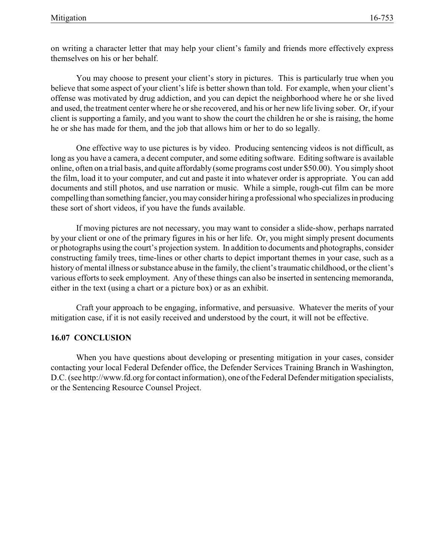on writing a character letter that may help your client's family and friends more effectively express themselves on his or her behalf.

You may choose to present your client's story in pictures. This is particularly true when you believe that some aspect of your client's life is better shown than told. For example, when your client's offense was motivated by drug addiction, and you can depict the neighborhood where he or she lived and used, the treatment center where he or she recovered, and his or her new life living sober. Or, if your client is supporting a family, and you want to show the court the children he or she is raising, the home he or she has made for them, and the job that allows him or her to do so legally.

One effective way to use pictures is by video. Producing sentencing videos is not difficult, as long as you have a camera, a decent computer, and some editing software. Editing software is available online, often on a trial basis, and quite affordably (some programs cost under \$50.00). You simply shoot the film, load it to your computer, and cut and paste it into whatever order is appropriate. You can add documents and still photos, and use narration or music. While a simple, rough-cut film can be more compelling than something fancier, you may consider hiring a professional who specializes in producing these sort of short videos, if you have the funds available.

If moving pictures are not necessary, you may want to consider a slide-show, perhaps narrated by your client or one of the primary figures in his or her life. Or, you might simply present documents or photographs using the court's projection system. In addition to documents and photographs, consider constructing family trees, time-lines or other charts to depict important themes in your case, such as a history of mental illness or substance abuse in the family, the client's traumatic childhood, or the client's various efforts to seek employment. Any of these things can also be inserted in sentencing memoranda, either in the text (using a chart or a picture box) or as an exhibit.

Craft your approach to be engaging, informative, and persuasive. Whatever the merits of your mitigation case, if it is not easily received and understood by the court, it will not be effective.

#### **16.07 CONCLUSION**

When you have questions about developing or presenting mitigation in your cases, consider contacting your local Federal Defender office, the Defender Services Training Branch in Washington, D.C. (see http://www.fd.org for contact information), one of the Federal Defender mitigation specialists, or the Sentencing Resource Counsel Project.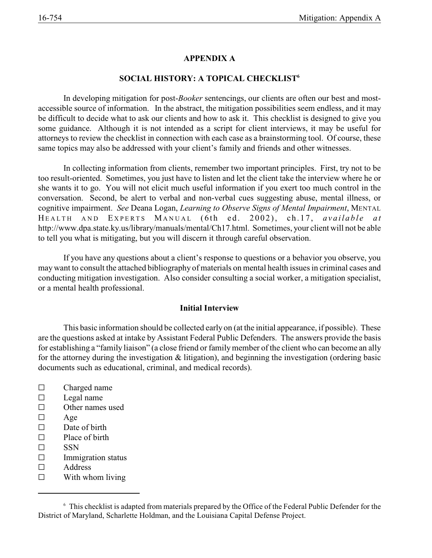# **APPENDIX A**

### **SOCIAL HISTORY: A TOPICAL CHECKLIST<sup>6</sup>**

In developing mitigation for post-*Booker* sentencings, our clients are often our best and mostaccessible source of information. In the abstract, the mitigation possibilities seem endless, and it may be difficult to decide what to ask our clients and how to ask it. This checklist is designed to give you some guidance. Although it is not intended as a script for client interviews, it may be useful for attorneys to review the checklist in connection with each case as a brainstorming tool. Of course, these same topics may also be addressed with your client's family and friends and other witnesses.

In collecting information from clients, remember two important principles. First, try not to be too result-oriented. Sometimes, you just have to listen and let the client take the interview where he or she wants it to go. You will not elicit much useful information if you exert too much control in the conversation. Second, be alert to verbal and non-verbal cues suggesting abuse, mental illness, or cognitive impairment. *See* Deana Logan, *Learning to Observe Signs of Mental Impairment*, MENTAL HEALTH AND EXPERTS MANUAL (6th ed. 2002), ch.17, *available at* http://www.dpa.state.ky.us/library/manuals/mental/Ch17.html. Sometimes, your client will not be able to tell you what is mitigating, but you will discern it through careful observation.

If you have any questions about a client's response to questions or a behavior you observe, you may want to consult the attached bibliography of materials on mental health issues in criminal cases and conducting mitigation investigation. Also consider consulting a social worker, a mitigation specialist, or a mental health professional.

#### **Initial Interview**

This basic information should be collected early on (at the initial appearance, if possible). These are the questions asked at intake by Assistant Federal Public Defenders. The answers provide the basis for establishing a "family liaison" (a close friend or family member of the client who can become an ally for the attorney during the investigation & litigation), and beginning the investigation (ordering basic documents such as educational, criminal, and medical records).

- $\Box$  Charged name
- $\square$  Legal name
- $\Box$  Other names used
- $\Box$  Age
- $\square$  Date of birth
- $\Box$  Place of birth
- $\Box$  SSN
- $\square$  Immigration status
- $\Box$  Address
- $\square$  With whom living

 $\delta$  This checklist is adapted from materials prepared by the Office of the Federal Public Defender for the District of Maryland, Scharlette Holdman, and the Louisiana Capital Defense Project.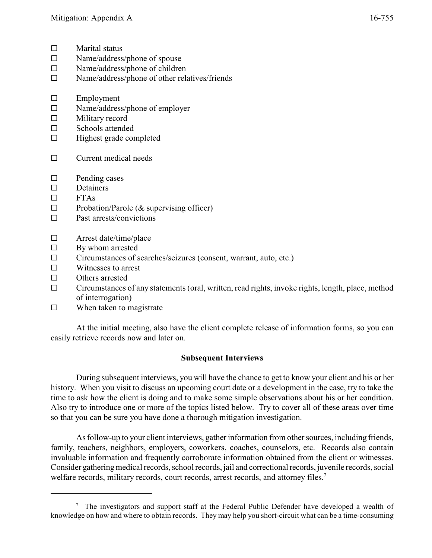- $\square$  Marital status
- $\square$  Name/address/phone of spouse
- $\square$  Name/address/phone of children
- $\square$  Name/address/phone of other relatives/friends
- $\square$  Employment
- $\square$  Name/address/phone of employer
- $\square$  Military record
- $\square$  Schools attended
- $\square$  Highest grade completed
- $\square$  Current medical needs
- $\Box$  Pending cases
- $\square$  Detainers
- $\Box$  FTAs
- $\Box$  Probation/Parole (& supervising officer)
- $\square$  Past arrests/convictions
- $\square$  Arrest date/time/place
- $\square$  By whom arrested
- $\Box$  Circumstances of searches/seizures (consent, warrant, auto, etc.)
- $\square$  Witnesses to arrest
- $\square$  Others arrested
- $\Box$  Circumstances of any statements (oral, written, read rights, invoke rights, length, place, method of interrogation)
- $\square$  When taken to magistrate

At the initial meeting, also have the client complete release of information forms, so you can easily retrieve records now and later on.

# **Subsequent Interviews**

During subsequent interviews, you will have the chance to get to know your client and his or her history. When you visit to discuss an upcoming court date or a development in the case, try to take the time to ask how the client is doing and to make some simple observations about his or her condition. Also try to introduce one or more of the topics listed below. Try to cover all of these areas over time so that you can be sure you have done a thorough mitigation investigation.

As follow-up to your client interviews, gather information from other sources, including friends, family, teachers, neighbors, employers, coworkers, coaches, counselors, etc. Records also contain invaluable information and frequently corroborate information obtained from the client or witnesses. Consider gathering medical records, school records, jail and correctional records, juvenile records, social welfare records, military records, court records, arrest records, and attorney files.<sup>7</sup>

 $\frac{7}{1}$  The investigators and support staff at the Federal Public Defender have developed a wealth of knowledge on how and where to obtain records. They may help you short-circuit what can be a time-consuming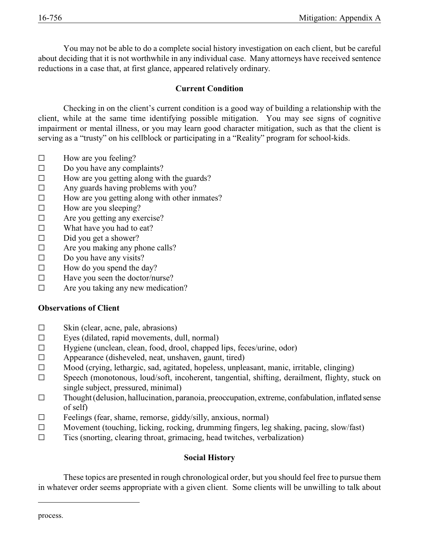You may not be able to do a complete social history investigation on each client, but be careful about deciding that it is not worthwhile in any individual case. Many attorneys have received sentence reductions in a case that, at first glance, appeared relatively ordinary.

# **Current Condition**

Checking in on the client's current condition is a good way of building a relationship with the client, while at the same time identifying possible mitigation. You may see signs of cognitive impairment or mental illness, or you may learn good character mitigation, such as that the client is serving as a "trusty" on his cellblock or participating in a "Reality" program for school-kids.

- $\square$  How are you feeling?
- $\square$  Do you have any complaints?
- $\Box$  How are you getting along with the guards?
- $\square$  Any guards having problems with you?
- $\Box$  How are you getting along with other inmates?
- $\Box$  How are you sleeping?
- $\Box$  Are you getting any exercise?
- $\square$  What have you had to eat?
- $\square$  Did you get a shower?
- $\Box$  Are you making any phone calls?
- $\square$  Do you have any visits?
- $\Box$  How do you spend the day?
- $\Box$  Have you seen the doctor/nurse?
- $\Box$  Are you taking any new medication?

## **Observations of Client**

- $\square$  Skin (clear, acne, pale, abrasions)
- $\square$  Eyes (dilated, rapid movements, dull, normal)
- $\Box$  Hygiene (unclean, clean, food, drool, chapped lips, feces/urine, odor)
- $\Box$  Appearance (disheveled, neat, unshaven, gaunt, tired)
- $\Box$  Mood (crying, lethargic, sad, agitated, hopeless, unpleasant, manic, irritable, clinging)
- $\Box$  Speech (monotonous, loud/soft, incoherent, tangential, shifting, derailment, flighty, stuck on single subject, pressured, minimal)
- $\Box$  Thought (delusion, hallucination, paranoia, preoccupation, extreme, confabulation, inflated sense of self)
- $\Box$  Feelings (fear, shame, remorse, giddy/silly, anxious, normal)
- $\Box$  Movement (touching, licking, rocking, drumming fingers, leg shaking, pacing, slow/fast)
- $\square$  Tics (snorting, clearing throat, grimacing, head twitches, verbalization)

## **Social History**

These topics are presented in rough chronological order, but you should feel free to pursue them in whatever order seems appropriate with a given client. Some clients will be unwilling to talk about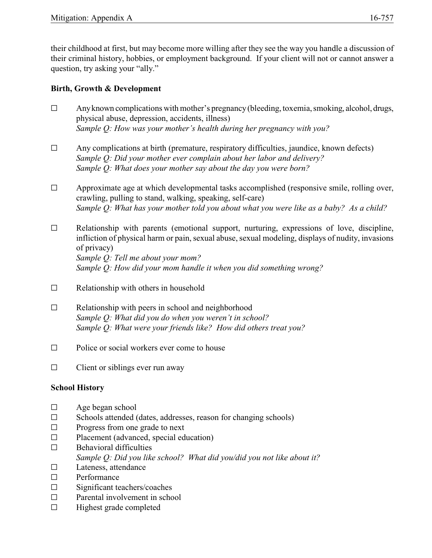their childhood at first, but may become more willing after they see the way you handle a discussion of their criminal history, hobbies, or employment background. If your client will not or cannot answer a question, try asking your "ally."

# **Birth, Growth & Development**

- $\Box$  Any known complications with mother's pregnancy (bleeding, toxemia, smoking, alcohol, drugs, physical abuse, depression, accidents, illness) *Sample Q: How was your mother's health during her pregnancy with you?*
- $\Box$  Any complications at birth (premature, respiratory difficulties, jaundice, known defects) *Sample Q: Did your mother ever complain about her labor and delivery? Sample Q: What does your mother say about the day you were born?*
- $\Box$  Approximate age at which developmental tasks accomplished (responsive smile, rolling over, crawling, pulling to stand, walking, speaking, self-care) *Sample Q: What has your mother told you about what you were like as a baby? As a child?*
- $\Box$  Relationship with parents (emotional support, nurturing, expressions of love, discipline, infliction of physical harm or pain, sexual abuse, sexual modeling, displays of nudity, invasions of privacy) *Sample Q: Tell me about your mom? Sample Q: How did your mom handle it when you did something wrong?*
- $\Box$  Relationship with others in household
- $\Box$  Relationship with peers in school and neighborhood *Sample Q: What did you do when you weren't in school? Sample Q: What were your friends like? How did others treat you?*
- $\square$  Police or social workers ever come to house
- $\square$  Client or siblings ever run away

# **School History**

- $\Box$  Age began school
- $\Box$  Schools attended (dates, addresses, reason for changing schools)
- $\square$  Progress from one grade to next
- $\square$  Placement (advanced, special education)
- $\Box$  Behavioral difficulties
	- *Sample Q: Did you like school? What did you/did you not like about it?*
- $\square$  Lateness, attendance
- G Performance
- $\square$  Significant teachers/coaches
- $\square$  Parental involvement in school
- $\square$  Highest grade completed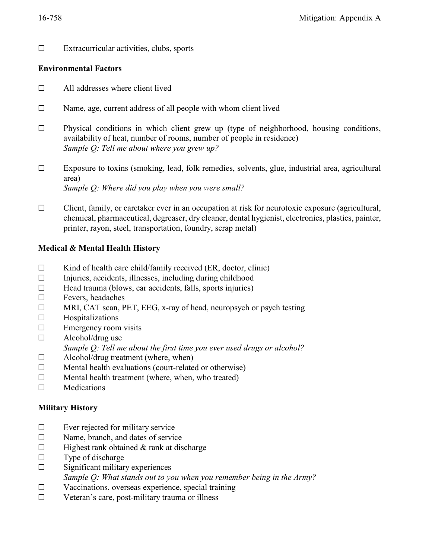$\square$  Extracurricular activities, clubs, sports

# **Environmental Factors**

- $\Box$  All addresses where client lived
- $\square$  Name, age, current address of all people with whom client lived
- $\Box$  Physical conditions in which client grew up (type of neighborhood, housing conditions, availability of heat, number of rooms, number of people in residence) *Sample Q: Tell me about where you grew up?*
- $\Box$  Exposure to toxins (smoking, lead, folk remedies, solvents, glue, industrial area, agricultural area) *Sample Q: Where did you play when you were small?*
- $\Box$  Client, family, or caretaker ever in an occupation at risk for neurotoxic exposure (agricultural, chemical, pharmaceutical, degreaser, dry cleaner, dental hygienist, electronics, plastics, painter, printer, rayon, steel, transportation, foundry, scrap metal)

# **Medical & Mental Health History**

- $\Box$  Kind of health care child/family received (ER, doctor, clinic)
- $\square$  Injuries, accidents, illnesses, including during childhood
- $\Box$  Head trauma (blows, car accidents, falls, sports injuries)
- $\square$  Fevers, headaches
- $\Box$  MRI, CAT scan, PET, EEG, x-ray of head, neuropsych or psych testing
- $\square$  Hospitalizations
- $\square$  Emergency room visits
- $\Box$  Alcohol/drug use
- *Sample Q: Tell me about the first time you ever used drugs or alcohol?*
- $\Box$  Alcohol/drug treatment (where, when)
- $\Box$  Mental health evaluations (court-related or otherwise)
- $\Box$  Mental health treatment (where, when, who treated)
- $\square$  Medications

# **Military History**

- $\square$  Ever rejected for military service
- $\square$  Name, branch, and dates of service
- $\Box$  Highest rank obtained & rank at discharge
- $\square$  Type of discharge
- $\square$  Significant military experiences
- *Sample Q: What stands out to you when you remember being in the Army?*
- $\square$  Vaccinations, overseas experience, special training
- $\Box$  Veteran's care, post-military trauma or illness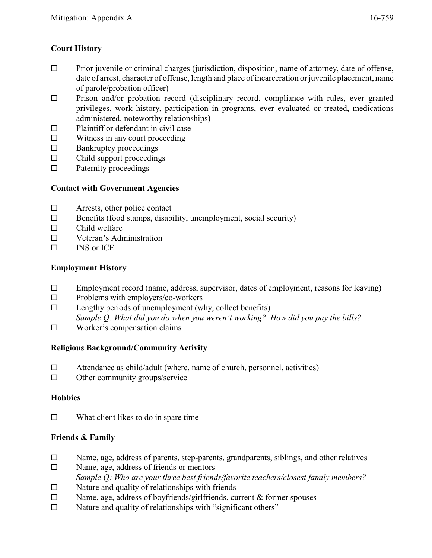# **Court History**

- $\Box$  Prior juvenile or criminal charges (jurisdiction, disposition, name of attorney, date of offense, date of arrest, character of offense, length and place of incarceration or juvenile placement, name of parole/probation officer)
- G Prison and/or probation record (disciplinary record, compliance with rules, ever granted privileges, work history, participation in programs, ever evaluated or treated, medications administered, noteworthy relationships)
- $\square$  Plaintiff or defendant in civil case
- $\square$  Witness in any court proceeding
- $\square$  Bankruptcy proceedings
- $\square$  Child support proceedings
- $\Box$  Paternity proceedings

# **Contact with Government Agencies**

- $\Box$  Arrests, other police contact
- $\Box$  Benefits (food stamps, disability, unemployment, social security)
- $\square$  Child welfare
- □ Veteran's Administration
- $\Box$  INS or ICE

# **Employment History**

- $\Box$  Employment record (name, address, supervisor, dates of employment, reasons for leaving)
- $\square$  Problems with employers/co-workers
- $\Box$  Lengthy periods of unemployment (why, collect benefits) *Sample Q: What did you do when you weren't working? How did you pay the bills?*
- $\square$  Worker's compensation claims

# **Religious Background/Community Activity**

- $\Box$  Attendance as child/adult (where, name of church, personnel, activities)
- $\Box$  Other community groups/service

# **Hobbies**

 $\square$  What client likes to do in spare time

# **Friends & Family**

- $\Box$  Name, age, address of parents, step-parents, grandparents, siblings, and other relatives
- $\square$  Name, age, address of friends or mentors *Sample Q: Who are your three best friends/favorite teachers/closest family members?*
- $\square$  Nature and quality of relationships with friends
- $\square$  Name, age, address of boyfriends/girlfriends, current & former spouses
- $\square$  Nature and quality of relationships with "significant others"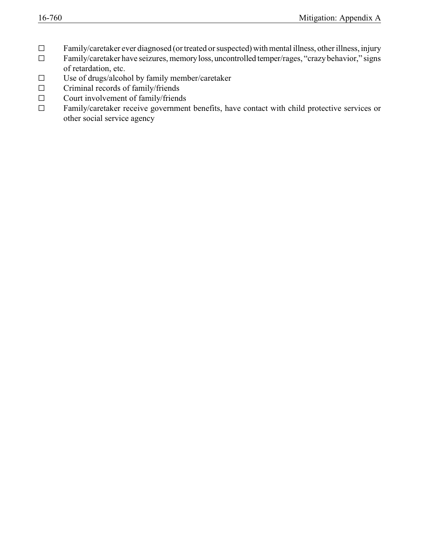- $\Box$  Family/caretaker ever diagnosed (or treated or suspected) with mental illness, other illness, injury
- G Family/caretaker have seizures, memory loss, uncontrolled temper/rages, "crazy behavior," signs of retardation, etc.
- $\Box$  Use of drugs/alcohol by family member/caretaker
- $\square$  Criminal records of family/friends
- $\square$  Court involvement of family/friends
- G Family/caretaker receive government benefits, have contact with child protective services or other social service agency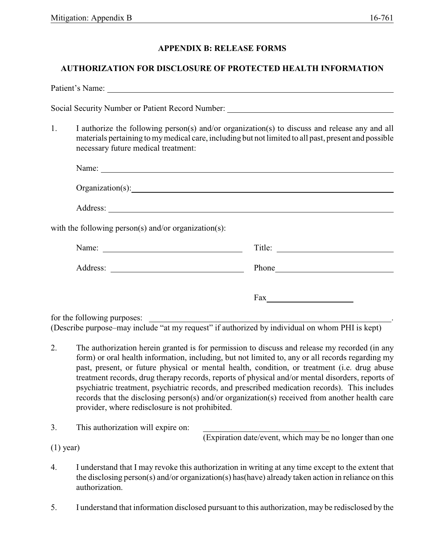# **APPENDIX B: RELEASE FORMS**

# **AUTHORIZATION FOR DISCLOSURE OF PROTECTED HEALTH INFORMATION**

|    | Patient's Name: Name:                                                                                                                                                                                                                        |                                                                                   |
|----|----------------------------------------------------------------------------------------------------------------------------------------------------------------------------------------------------------------------------------------------|-----------------------------------------------------------------------------------|
|    | Social Security Number or Patient Record Number: ________________________________                                                                                                                                                            |                                                                                   |
| 1. | I authorize the following person(s) and/or organization(s) to discuss and release any and all<br>materials pertaining to my medical care, including but not limited to all past, present and possible<br>necessary future medical treatment: |                                                                                   |
|    |                                                                                                                                                                                                                                              |                                                                                   |
|    | Organization(s):                                                                                                                                                                                                                             |                                                                                   |
|    |                                                                                                                                                                                                                                              |                                                                                   |
|    | with the following person(s) and/or organization(s):                                                                                                                                                                                         |                                                                                   |
|    |                                                                                                                                                                                                                                              |                                                                                   |
|    |                                                                                                                                                                                                                                              |                                                                                   |
|    |                                                                                                                                                                                                                                              | $\begin{array}{ccc}\n\text{Fax} & \text{---} & \text{---} \\ \hline\n\end{array}$ |
|    | for the following purposes:                                                                                                                                                                                                                  |                                                                                   |

(Describe purpose–may include "at my request" if authorized by individual on whom PHI is kept)

- 2. The authorization herein granted is for permission to discuss and release my recorded (in any form) or oral health information, including, but not limited to, any or all records regarding my past, present, or future physical or mental health, condition, or treatment (i.e. drug abuse treatment records, drug therapy records, reports of physical and/or mental disorders, reports of psychiatric treatment, psychiatric records, and prescribed medication records). This includes records that the disclosing person(s) and/or organization(s) received from another health care provider, where redisclosure is not prohibited.
- 3. This authorization will expire on:

(Expiration date/event, which may be no longer than one

 $(1)$  year)

- 4. I understand that I may revoke this authorization in writing at any time except to the extent that the disclosing person(s) and/or organization(s) has(have) already taken action in reliance on this authorization.
- 5. I understand that information disclosed pursuant to this authorization, may be redisclosed by the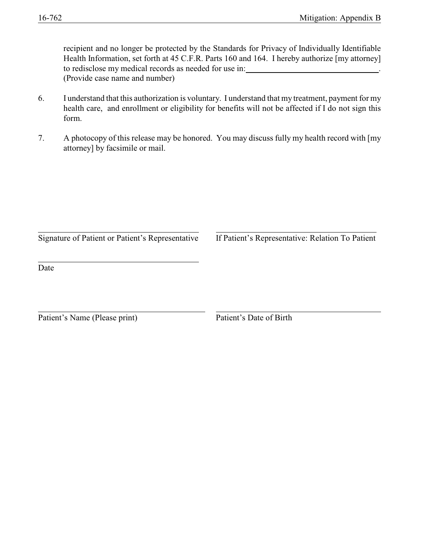recipient and no longer be protected by the Standards for Privacy of Individually Identifiable Health Information, set forth at 45 C.F.R. Parts 160 and 164. I hereby authorize [my attorney] to redisclose my medical records as needed for use in: . (Provide case name and number)

- 6. I understand that this authorization is voluntary. I understand that my treatment, payment for my health care, and enrollment or eligibility for benefits will not be affected if I do not sign this form.
- 7. A photocopy of this release may be honored. You may discuss fully my health record with [my attorney] by facsimile or mail.

Signature of Patient or Patient's Representative If Patient's Representative: Relation To Patient

Date

 $\overline{a}$ 

 $\overline{a}$ 

 $\overline{a}$ 

Patient's Name (Please print) Patient's Date of Birth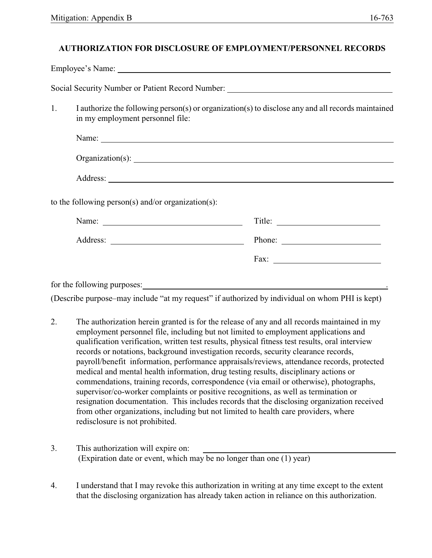# **AUTHORIZATION FOR DISCLOSURE OF EMPLOYMENT/PERSONNEL RECORDS**

|    | Social Security Number or Patient Record Number: ________________________________                                                     |        |
|----|---------------------------------------------------------------------------------------------------------------------------------------|--------|
| 1. | I authorize the following person(s) or organization(s) to disclose any and all records maintained<br>in my employment personnel file: |        |
|    |                                                                                                                                       |        |
|    |                                                                                                                                       |        |
|    |                                                                                                                                       |        |
|    | to the following person(s) and/or organization(s):                                                                                    |        |
|    |                                                                                                                                       |        |
|    |                                                                                                                                       | Phone: |
|    |                                                                                                                                       | Fax:   |
|    |                                                                                                                                       |        |
|    | (Describe purpose–may include "at my request" if authorized by individual on whom PHI is kept)                                        |        |

- 2. The authorization herein granted is for the release of any and all records maintained in my employment personnel file, including but not limited to employment applications and qualification verification, written test results, physical fitness test results, oral interview records or notations, background investigation records, security clearance records, payroll/benefit information, performance appraisals/reviews, attendance records, protected medical and mental health information, drug testing results, disciplinary actions or commendations, training records, correspondence (via email or otherwise), photographs, supervisor/co-worker complaints or positive recognitions, as well as termination or resignation documentation. This includes records that the disclosing organization received from other organizations, including but not limited to health care providers, where redisclosure is not prohibited.
- 3. This authorization will expire on: (Expiration date or event, which may be no longer than one (1) year)
- 4. I understand that I may revoke this authorization in writing at any time except to the extent that the disclosing organization has already taken action in reliance on this authorization.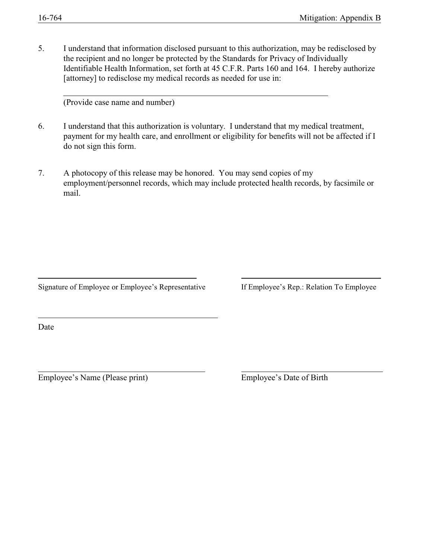5. I understand that information disclosed pursuant to this authorization, may be redisclosed by the recipient and no longer be protected by the Standards for Privacy of Individually Identifiable Health Information, set forth at 45 C.F.R. Parts 160 and 164. I hereby authorize [attorney] to redisclose my medical records as needed for use in:

(Provide case name and number)

- 6. I understand that this authorization is voluntary. I understand that my medical treatment, payment for my health care, and enrollment or eligibility for benefits will not be affected if I do not sign this form.
- 7. A photocopy of this release may be honored. You may send copies of my employment/personnel records, which may include protected health records, by facsimile or mail.

Signature of Employee or Employee's Representative If Employee's Rep.: Relation To Employee

Date

 $\overline{a}$ 

 $\overline{a}$ 

 $\overline{a}$ 

Employee's Name (Please print) Employee's Date of Birth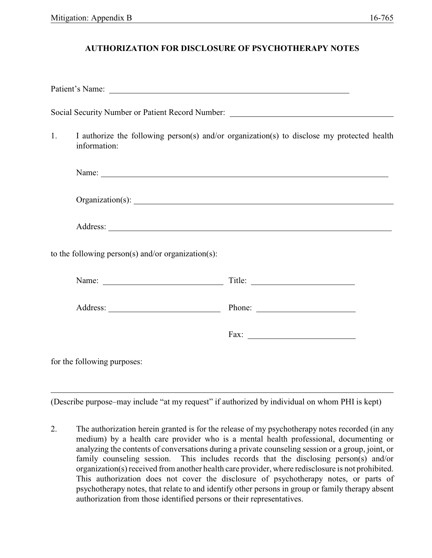$\overline{a}$ 

# **AUTHORIZATION FOR DISCLOSURE OF PSYCHOTHERAPY NOTES**

| Patient's Name: |                                                    |                                                                                            |
|-----------------|----------------------------------------------------|--------------------------------------------------------------------------------------------|
|                 |                                                    | Social Security Number or Patient Record Number: _______________________________           |
| 1.              | information:                                       | I authorize the following person(s) and/or organization(s) to disclose my protected health |
|                 |                                                    |                                                                                            |
|                 |                                                    | Organization(s):                                                                           |
|                 |                                                    |                                                                                            |
|                 | to the following person(s) and/or organization(s): |                                                                                            |
|                 |                                                    |                                                                                            |
|                 |                                                    |                                                                                            |
|                 |                                                    | Fax:                                                                                       |
|                 | for the following purposes:                        |                                                                                            |

(Describe purpose–may include "at my request" if authorized by individual on whom PHI is kept)

2. The authorization herein granted is for the release of my psychotherapy notes recorded (in any medium) by a health care provider who is a mental health professional, documenting or analyzing the contents of conversations during a private counseling session or a group, joint, or family counseling session. This includes records that the disclosing person(s) and/or organization(s) received from another health care provider, where redisclosure is not prohibited. This authorization does not cover the disclosure of psychotherapy notes, or parts of psychotherapy notes, that relate to and identify other persons in group or family therapy absent authorization from those identified persons or their representatives.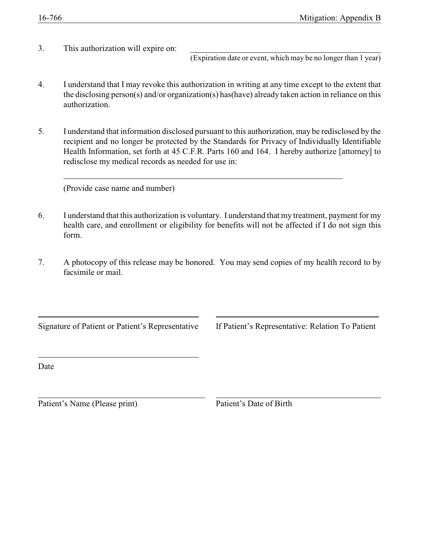3. This authorization will expire on:

(Expiration date or event, which may be no longer than 1 year)

- 4. I understand that I may revoke this authorization in writing at any time except to the extent that the disclosing person(s) and/or organization(s) has(have) already taken action in reliance on this authorization.
- 5. I understand that information disclosed pursuant to this authorization, may be redisclosed by the recipient and no longer be protected by the Standards for Privacy of Individually Identifiable Health Information, set forth at 45 C.F.R. Parts 160 and 164. I hereby authorize [attorney] to redisclose my medical records as needed for use in:

(Provide case name and number)

- 6. I understand that this authorization is voluntary. I understand that my treatment, payment for my health care, and enrollment or eligibility for benefits will not be affected if I do not sign this form.
- 7. A photocopy of this release may be honored. You may send copies of my health record to by facsimile or mail.

l

Signature of Patient or Patient's Representative If Patient's Representative: Relation To Patient

Date

 $\overline{a}$ 

 $\overline{a}$ 

Patient's Name (Please print) Patient's Date of Birth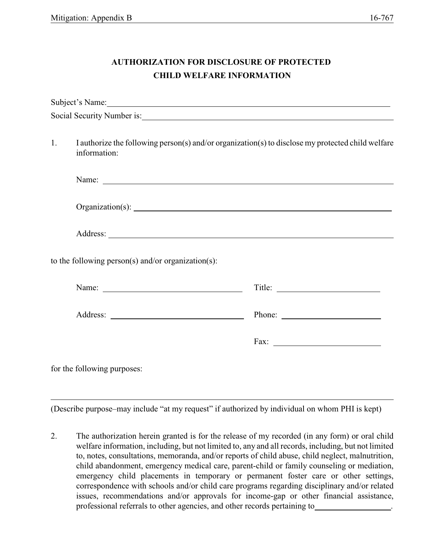$\overline{a}$ 

# **AUTHORIZATION FOR DISCLOSURE OF PROTECTED CHILD WELFARE INFORMATION**

|    | Subject's Name: Name: Name and Subject's Name: Name and Subject's Name: Name and Subject's Name: Name and Subject                                                                                                              |        |
|----|--------------------------------------------------------------------------------------------------------------------------------------------------------------------------------------------------------------------------------|--------|
|    | Social Security Number is: 1986 and 2008 and 2008 and 2008 and 2008 and 2008 and 2008 and 2008 and 2008 and 2008 and 2008 and 2008 and 2008 and 2008 and 2008 and 2008 and 2008 and 2008 and 2008 and 2008 and 2008 and 2008 a |        |
| 1. | I authorize the following person(s) and/or organization(s) to disclose my protected child welfare<br>information:                                                                                                              |        |
|    | Name:                                                                                                                                                                                                                          |        |
|    |                                                                                                                                                                                                                                |        |
|    |                                                                                                                                                                                                                                |        |
|    | to the following person(s) and/or organization(s):                                                                                                                                                                             |        |
|    |                                                                                                                                                                                                                                |        |
|    |                                                                                                                                                                                                                                | Phone: |
|    |                                                                                                                                                                                                                                | Fax:   |
|    | for the following purposes:                                                                                                                                                                                                    |        |

(Describe purpose–may include "at my request" if authorized by individual on whom PHI is kept)

2. The authorization herein granted is for the release of my recorded (in any form) or oral child welfare information, including, but not limited to, any and all records, including, but not limited to, notes, consultations, memoranda, and/or reports of child abuse, child neglect, malnutrition, child abandonment, emergency medical care, parent-child or family counseling or mediation, emergency child placements in temporary or permanent foster care or other settings, correspondence with schools and/or child care programs regarding disciplinary and/or related issues, recommendations and/or approvals for income-gap or other financial assistance, professional referrals to other agencies, and other records pertaining to .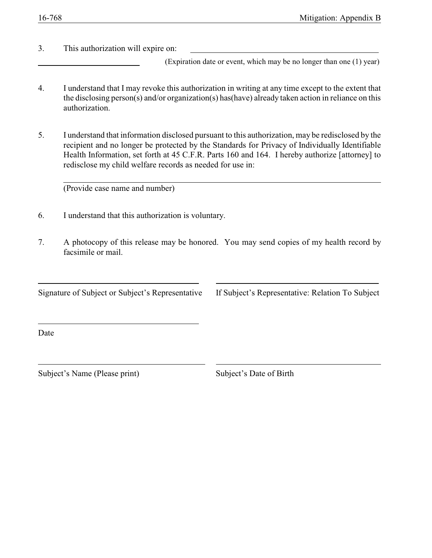3. This authorization will expire on:

(Expiration date or event, which may be no longer than one (1) year)

- 4. I understand that I may revoke this authorization in writing at any time except to the extent that the disclosing person(s) and/or organization(s) has(have) already taken action in reliance on this authorization.
- 5. I understand that information disclosed pursuant to this authorization, may be redisclosed by the recipient and no longer be protected by the Standards for Privacy of Individually Identifiable Health Information, set forth at 45 C.F.R. Parts 160 and 164. I hereby authorize [attorney] to redisclose my child welfare records as needed for use in:

(Provide case name and number)

- 6. I understand that this authorization is voluntary.
- 7. A photocopy of this release may be honored. You may send copies of my health record by facsimile or mail.

Signature of Subject or Subject's Representative If Subject's Representative: Relation To Subject

Date

l

 $\overline{a}$ 

 $\overline{a}$ 

Subject's Name (Please print) Subject's Date of Birth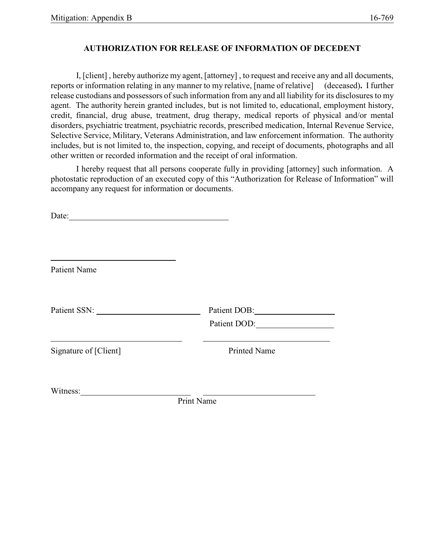# **AUTHORIZATION FOR RELEASE OF INFORMATION OF DECEDENT**

I, [client] , hereby authorize my agent, [attorney] , to request and receive any and all documents, reports or information relating in any manner to my relative, [name of relative] (deceased)**.** I further release custodians and possessors of such information from any and all liability for its disclosures to my agent. The authority herein granted includes, but is not limited to, educational, employment history, credit, financial, drug abuse, treatment, drug therapy, medical reports of physical and/or mental disorders, psychiatric treatment, psychiatric records, prescribed medication, Internal Revenue Service, Selective Service, Military, Veterans Administration, and law enforcement information. The authority includes, but is not limited to, the inspection, copying, and receipt of documents, photographs and all other written or recorded information and the receipt of oral information.

I hereby request that all persons cooperate fully in providing [attorney] such information. A photostatic reproduction of an executed copy of this "Authorization for Release of Information" will accompany any request for information or documents.

Date:

| <b>Patient Name</b>   |                     |
|-----------------------|---------------------|
|                       |                     |
| Patient SSN:          | Patient DOB:        |
|                       | Patient DOD:        |
| Signature of [Client] | <b>Printed Name</b> |
|                       |                     |
| Witness:              |                     |

Print Name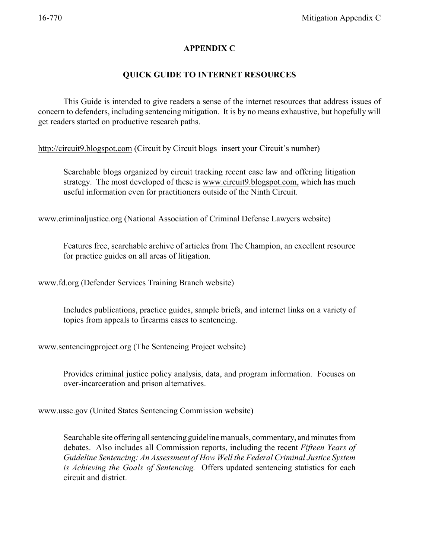# **APPENDIX C**

## **QUICK GUIDE TO INTERNET RESOURCES**

This Guide is intended to give readers a sense of the internet resources that address issues of concern to defenders, including sentencing mitigation. It is by no means exhaustive, but hopefully will get readers started on productive research paths.

<http://circuit9.blogspot.com> (Circuit by Circuit blogs–insert your Circuit's number)

Searchable blogs organized by circuit tracking recent case law and offering litigation strategy. The most developed of these is [www.circuit9.blogspot.com,](http://www.circuit9) which has much useful information even for practitioners outside of the Ninth Circuit.

[www.criminaljustice.org](http://www.criminaljustice.org) (National Association of Criminal Defense Lawyers website)

Features free, searchable archive of articles from The Champion, an excellent resource for practice guides on all areas of litigation.

[www.fd.org](http://www.fd.org) (Defender Services Training Branch website)

Includes publications, practice guides, sample briefs, and internet links on a variety of topics from appeals to firearms cases to sentencing.

[www.sentencingproject.org](http://www.sentencingproject.org) (The Sentencing Project website)

Provides criminal justice policy analysis, data, and program information. Focuses on over-incarceration and prison alternatives.

[www.ussc.gov](http://www.ussc.gov) (United States Sentencing Commission website)

Searchable site offering all sentencing guideline manuals, commentary, and minutes from debates. Also includes all Commission reports, including the recent *Fifteen Years of Guideline Sentencing: An Assessment of How Well the Federal Criminal Justice System is Achieving the Goals of Sentencing.* Offers updated sentencing statistics for each circuit and district.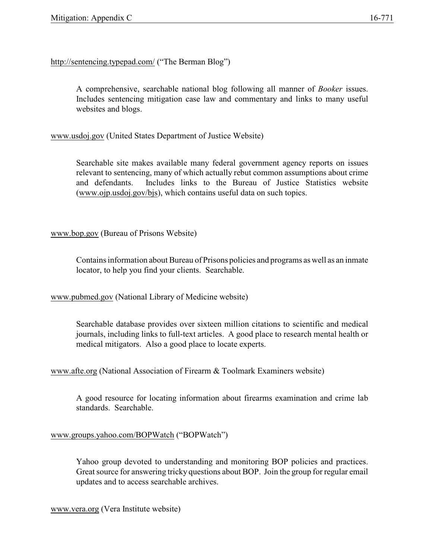<http://sentencing.typepad.com/> ("The Berman Blog")

A comprehensive, searchable national blog following all manner of *Booker* issues. Includes sentencing mitigation case law and commentary and links to many useful websites and blogs.

[www.usdoj.gov](http://www.usdoj.gov) (United States Department of Justice Website)

Searchable site makes available many federal government agency reports on issues relevant to sentencing, many of which actually rebut common assumptions about crime and defendants. Includes links to the Bureau of Justice Statistics website [\(www.ojp.usdoj.gov/bjs](http://www.ojp.usdoj.gov)), which contains useful data on such topics.

[www.bop.gov](http://www.bop.gov) (Bureau of Prisons Website)

Contains information about Bureau of Prisons policies and programs as well as an inmate locator, to help you find your clients. Searchable.

[www.pubmed.gov](http://www.pubmed.gov) (National Library of Medicine website)

Searchable database provides over sixteen million citations to scientific and medical journals, including links to full-text articles. A good place to research mental health or medical mitigators. Also a good place to locate experts.

[www.afte.org](http://www.afte.org) (National Association of Firearm & Toolmark Examiners website)

A good resource for locating information about firearms examination and crime lab standards. Searchable.

[www.groups.yahoo.com/BOPWatch](http://www.groups.yahoo.com) ("BOPWatch")

Yahoo group devoted to understanding and monitoring BOP policies and practices. Great source for answering tricky questions about BOP. Join the group for regular email updates and to access searchable archives.

[www.vera.org](http://www.vera.org) (Vera Institute website)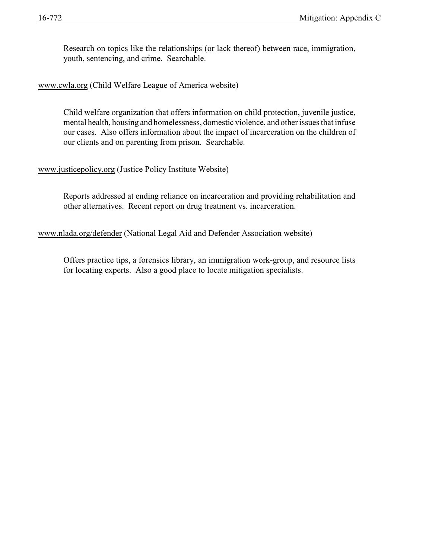Research on topics like the relationships (or lack thereof) between race, immigration, youth, sentencing, and crime. Searchable.

[www.cwla.org](http://www.cwla.org) (Child Welfare League of America website)

Child welfare organization that offers information on child protection, juvenile justice, mental health, housing and homelessness, domestic violence, and other issues that infuse our cases. Also offers information about the impact of incarceration on the children of our clients and on parenting from prison. Searchable.

## [www.justicepolicy.org](http://www.justicepolicy.org) (Justice Policy Institute Website)

Reports addressed at ending reliance on incarceration and providing rehabilitation and other alternatives. Recent report on drug treatment vs. incarceration.

[www.nlada.org/defender](http://www.nlada.org) (National Legal Aid and Defender Association website)

Offers practice tips, a forensics library, an immigration work-group, and resource lists for locating experts. Also a good place to locate mitigation specialists.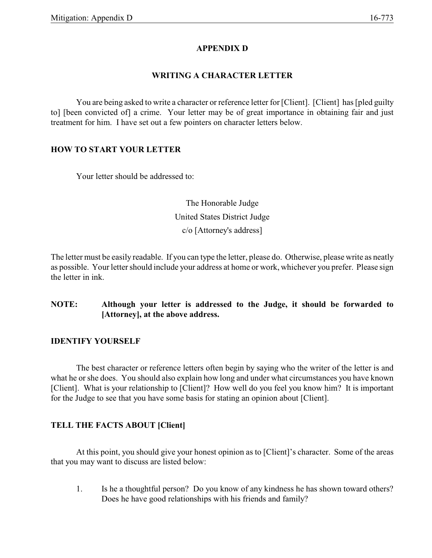# **APPENDIX D**

### **WRITING A CHARACTER LETTER**

You are being asked to write a character or reference letter for [Client]. [Client] has [pled guilty to] [been convicted of] a crime. Your letter may be of great importance in obtaining fair and just treatment for him. I have set out a few pointers on character letters below.

### **HOW TO START YOUR LETTER**

Your letter should be addressed to:

The Honorable Judge United States District Judge c/o [Attorney's address]

The letter must be easily readable. If you can type the letter, please do. Otherwise, please write as neatly as possible. Your letter should include your address at home or work, whichever you prefer. Please sign the letter in ink.

## **NOTE: Although your letter is addressed to the Judge, it should be forwarded to [Attorney], at the above address.**

# **IDENTIFY YOURSELF**

The best character or reference letters often begin by saying who the writer of the letter is and what he or she does. You should also explain how long and under what circumstances you have known [Client]. What is your relationship to [Client]? How well do you feel you know him? It is important for the Judge to see that you have some basis for stating an opinion about [Client].

# **TELL THE FACTS ABOUT [Client]**

At this point, you should give your honest opinion as to [Client]'s character. Some of the areas that you may want to discuss are listed below:

1. Is he a thoughtful person? Do you know of any kindness he has shown toward others? Does he have good relationships with his friends and family?